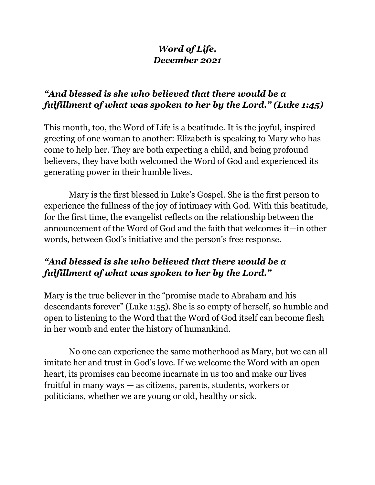# *Word of Life, December 2021*

## *"And blessed is she who believed that there would be a fulfillment of what was spoken to her by the Lord." (Luke 1:45)*

This month, too, the Word of Life is a beatitude. It is the joyful, inspired greeting of one woman to another: Elizabeth is speaking to Mary who has come to help her. They are both expecting a child, and being profound believers, they have both welcomed the Word of God and experienced its generating power in their humble lives.

 Mary is the first blessed in Luke's Gospel. She is the first person to experience the fullness of the joy of intimacy with God. With this beatitude, for the first time, the evangelist reflects on the relationship between the announcement of the Word of God and the faith that welcomes it—in other words, between God's initiative and the person's free response.

# *"And blessed is she who believed that there would be a fulfillment of what was spoken to her by the Lord."*

Mary is the true believer in the "promise made to Abraham and his descendants forever" (Luke 1:55). She is so empty of herself, so humble and open to listening to the Word that the Word of God itself can become flesh in her womb and enter the history of humankind.

 No one can experience the same motherhood as Mary, but we can all imitate her and trust in God's love. If we welcome the Word with an open heart, its promises can become incarnate in us too and make our lives fruitful in many ways — as citizens, parents, students, workers or politicians, whether we are young or old, healthy or sick.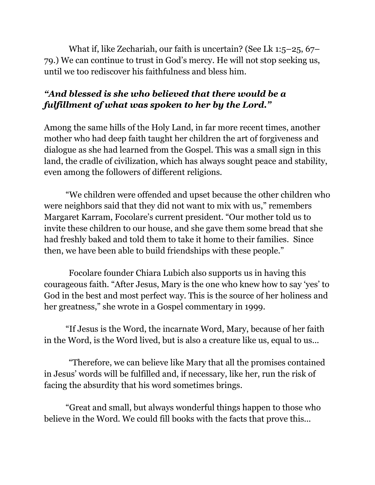What if, like Zechariah, our faith is uncertain? (See Lk 1:5–25, 67– 79.) We can continue to trust in God's mercy. He will not stop seeking us, until we too rediscover his faithfulness and bless him.

# *"And blessed is she who believed that there would be a fulfillment of what was spoken to her by the Lord."*

Among the same hills of the Holy Land, in far more recent times, another mother who had deep faith taught her children the art of forgiveness and dialogue as she had learned from the Gospel. This was a small sign in this land, the cradle of civilization, which has always sought peace and stability, even among the followers of different religions.

"We children were offended and upset because the other children who were neighbors said that they did not want to mix with us," remembers Margaret Karram, Focolare's current president. "Our mother told us to invite these children to our house, and she gave them some bread that she had freshly baked and told them to take it home to their families. Since then, we have been able to build friendships with these people."

 Focolare founder Chiara Lubich also supports us in having this courageous faith. "After Jesus, Mary is the one who knew how to say 'yes' to God in the best and most perfect way. This is the source of her holiness and her greatness," she wrote in a Gospel commentary in 1999.

"If Jesus is the Word, the incarnate Word, Mary, because of her faith in the Word, is the Word lived, but is also a creature like us, equal to us...

 "Therefore, we can believe like Mary that all the promises contained in Jesus' words will be fulfilled and, if necessary, like her, run the risk of facing the absurdity that his word sometimes brings.

"Great and small, but always wonderful things happen to those who believe in the Word. We could fill books with the facts that prove this...